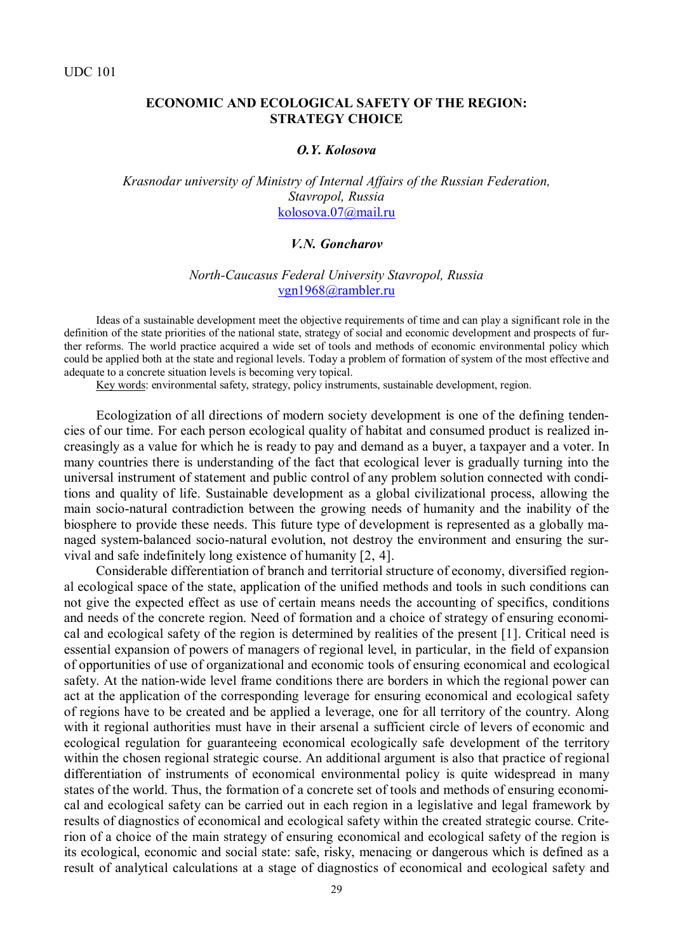## **ECONOMIC AND ECOLOGICAL SAFETY OF THE REGION: STRATEGY CHOICE**

#### *O.Y. Kolosova*

*Krasnodar university of Ministry of Internal Affairs of the Russian Federation, Stavropol, Russia* [kolosova.07@mail.ru](mailto:kolosova.07@mail.ru)

#### *V.N. Goncharov*

## *North-Caucasus Federal University Stavropol, Russia* [vgn1968@rambler.ru](mailto:vgn1968@rambler.ru)

Ideas of a sustainable development meet the objective requirements of time and can play a significant role in the definition of the state priorities of the national state, strategy of social and economic development and prospects of further reforms. The world practice acquired a wide set of tools and methods of economic environmental policy which could be applied both at the state and regional levels. Today a problem of formation of system of the most effective and adequate to a concrete situation levels is becoming very topical.

Key words: environmental safety, strategy, policy instruments, sustainable development, region.

Ecologization of all directions of modern society development is one of the defining tendencies of our time. For each person ecological quality of habitat and consumed product is realized increasingly as a value for which he is ready to pay and demand as a buyer, a taxpayer and a voter. In many countries there is understanding of the fact that ecological lever is gradually turning into the universal instrument of statement and public control of any problem solution connected with conditions and quality of life. Sustainable development as a global civilizational process, allowing the main socio-natural contradiction between the growing needs of humanity and the inability of the biosphere to provide these needs. This future type of development is represented as a globally managed system-balanced socio-natural evolution, not destroy the environment and ensuring the survival and safe indefinitely long existence of humanity [2, 4].

Considerable differentiation of branch and territorial structure of economy, diversified regional ecological space of the state, application of the unified methods and tools in such conditions can not give the expected effect as use of certain means needs the accounting of specifics, conditions and needs of the concrete region. Need of formation and a choice of strategy of ensuring economical and ecological safety of the region is determined by realities of the present [1]. Critical need is essential expansion of powers of managers of regional level, in particular, in the field of expansion of opportunities of use of organizational and economic tools of ensuring economical and ecological safety. At the nation-wide level frame conditions there are borders in which the regional power can act at the application of the corresponding leverage for ensuring economical and ecological safety of regions have to be created and be applied a leverage, one for all territory of the country. Along with it regional authorities must have in their arsenal a sufficient circle of levers of economic and ecological regulation for guaranteeing economical ecologically safe development of the territory within the chosen regional strategic course. An additional argument is also that practice of regional differentiation of instruments of economical environmental policy is quite widespread in many states of the world. Thus, the formation of a concrete set of tools and methods of ensuring economical and ecological safety can be carried out in each region in a legislative and legal framework by results of diagnostics of economical and ecological safety within the created strategic course. Criterion of a choice of the main strategy of ensuring economical and ecological safety of the region is its ecological, economic and social state: safe, risky, menacing or dangerous which is defined as a result of analytical calculations at a stage of diagnostics of economical and ecological safety and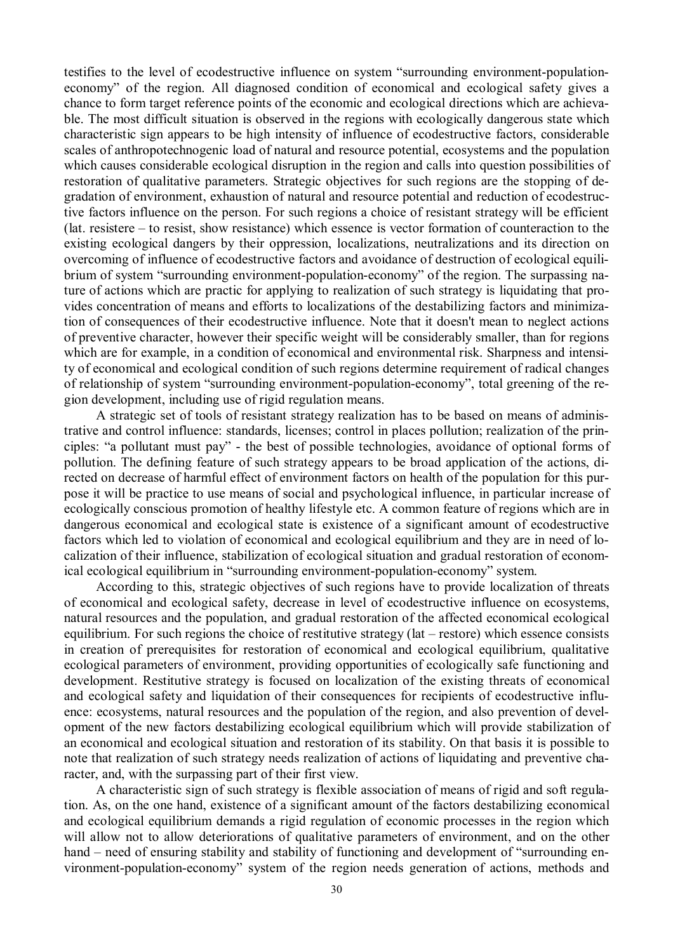testifies to the level of ecodestructive influence on system "surrounding environment-populationeconomy" of the region. All diagnosed condition of economical and ecological safety gives a chance to form target reference points of the economic and ecological directions which are achievable. The most difficult situation is observed in the regions with ecologically dangerous state which characteristic sign appears to be high intensity of influence of ecodestructive factors, considerable scales of anthropotechnogenic load of natural and resource potential, ecosystems and the population which causes considerable ecological disruption in the region and calls into question possibilities of restoration of qualitative parameters. Strategic objectives for such regions are the stopping of degradation of environment, exhaustion of natural and resource potential and reduction of ecodestructive factors influence on the person. For such regions a choice of resistant strategy will be efficient (lat. resistere – to resist, show resistance) which essence is vector formation of counteraction to the existing ecological dangers by their oppression, localizations, neutralizations and its direction on overcoming of influence of ecodestructive factors and avoidance of destruction of ecological equilibrium of system "surrounding environment-population-economy" of the region. The surpassing nature of actions which are practic for applying to realization of such strategy is liquidating that provides concentration of means and efforts to localizations of the destabilizing factors and minimization of consequences of their ecodestructive influence. Note that it doesn't mean to neglect actions of preventive character, however their specific weight will be considerably smaller, than for regions which are for example, in a condition of economical and environmental risk. Sharpness and intensity of economical and ecological condition of such regions determine requirement of radical changes of relationship of system "surrounding environment-population-economy", total greening of the region development, including use of rigid regulation means.

A strategic set of tools of resistant strategy realization has to be based on means of administrative and control influence: standards, licenses; control in places pollution; realization of the principles: "a pollutant must pay" - the best of possible technologies, avoidance of optional forms of pollution. The defining feature of such strategy appears to be broad application of the actions, directed on decrease of harmful effect of environment factors on health of the population for this purpose it will be practice to use means of social and psychological influence, in particular increase of ecologically conscious promotion of healthy lifestyle etc. A common feature of regions which are in dangerous economical and ecological state is existence of a significant amount of ecodestructive factors which led to violation of economical and ecological equilibrium and they are in need of localization of their influence, stabilization of ecological situation and gradual restoration of economical ecological equilibrium in "surrounding environment-population-economy" system.

According to this, strategic objectives of such regions have to provide localization of threats of economical and ecological safety, decrease in level of ecodestructive influence on ecosystems, natural resources and the population, and gradual restoration of the affected economical ecological equilibrium. For such regions the choice of restitutive strategy (lat – restore) which essence consists in creation of prerequisites for restoration of economical and ecological equilibrium, qualitative ecological parameters of environment, providing opportunities of ecologically safe functioning and development. Restitutive strategy is focused on localization of the existing threats of economical and ecological safety and liquidation of their consequences for recipients of ecodestructive influence: ecosystems, natural resources and the population of the region, and also prevention of development of the new factors destabilizing ecological equilibrium which will provide stabilization of an economical and ecological situation and restoration of its stability. On that basis it is possible to note that realization of such strategy needs realization of actions of liquidating and preventive character, and, with the surpassing part of their first view.

A characteristic sign of such strategy is flexible association of means of rigid and soft regulation. As, on the one hand, existence of a significant amount of the factors destabilizing economical and ecological equilibrium demands a rigid regulation of economic processes in the region which will allow not to allow deteriorations of qualitative parameters of environment, and on the other hand – need of ensuring stability and stability of functioning and development of "surrounding environment-population-economy" system of the region needs generation of actions, methods and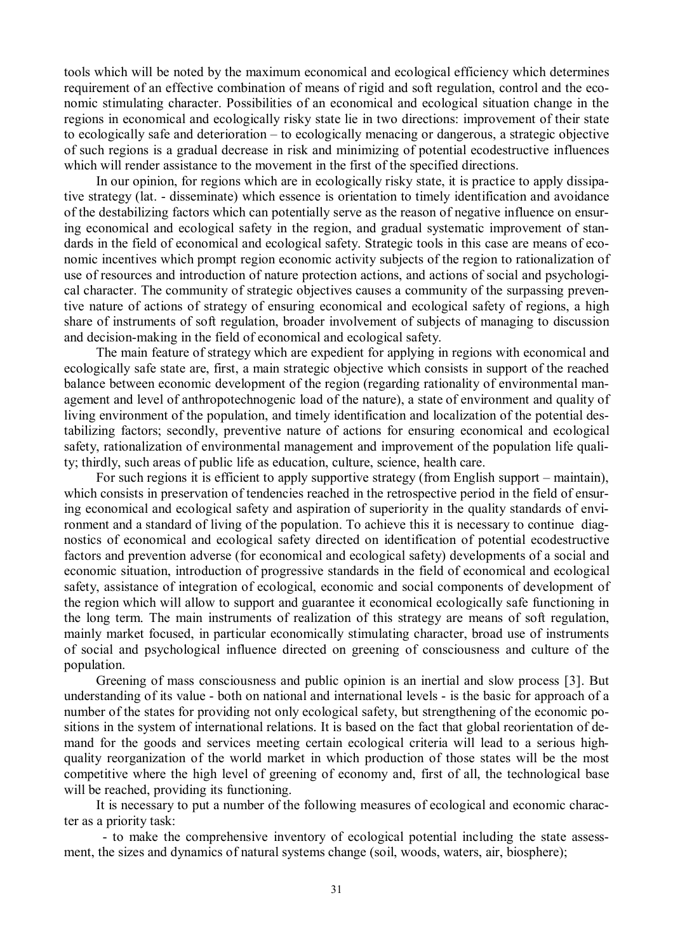tools which will be noted by the maximum economical and ecological efficiency which determines requirement of an effective combination of means of rigid and soft regulation, control and the economic stimulating character. Possibilities of an economical and ecological situation change in the regions in economical and ecologically risky state lie in two directions: improvement of their state to ecologically safe and deterioration – to ecologically menacing or dangerous, a strategic objective of such regions is a gradual decrease in risk and minimizing of potential ecodestructive influences which will render assistance to the movement in the first of the specified directions.

In our opinion, for regions which are in ecologically risky state, it is practice to apply dissipative strategy (lat. - disseminate) which essence is orientation to timely identification and avoidance of the destabilizing factors which can potentially serve as the reason of negative influence on ensuring economical and ecological safety in the region, and gradual systematic improvement of standards in the field of economical and ecological safety. Strategic tools in this case are means of economic incentives which prompt region economic activity subjects of the region to rationalization of use of resources and introduction of nature protection actions, and actions of social and psychological character. The community of strategic objectives causes a community of the surpassing preventive nature of actions of strategy of ensuring economical and ecological safety of regions, a high share of instruments of soft regulation, broader involvement of subjects of managing to discussion and decision-making in the field of economical and ecological safety.

The main feature of strategy which are expedient for applying in regions with economical and ecologically safe state are, first, a main strategic objective which consists in support of the reached balance between economic development of the region (regarding rationality of environmental management and level of anthropotechnogenic load of the nature), a state of environment and quality of living environment of the population, and timely identification and localization of the potential destabilizing factors; secondly, preventive nature of actions for ensuring economical and ecological safety, rationalization of environmental management and improvement of the population life quality; thirdly, such areas of public life as education, culture, science, health care.

For such regions it is efficient to apply supportive strategy (from English support – maintain), which consists in preservation of tendencies reached in the retrospective period in the field of ensuring economical and ecological safety and aspiration of superiority in the quality standards of environment and a standard of living of the population. To achieve this it is necessary to continue diagnostics of economical and ecological safety directed on identification of potential ecodestructive factors and prevention adverse (for economical and ecological safety) developments of a social and economic situation, introduction of progressive standards in the field of economical and ecological safety, assistance of integration of ecological, economic and social components of development of the region which will allow to support and guarantee it economical ecologically safe functioning in the long term. The main instruments of realization of this strategy are means of soft regulation, mainly market focused, in particular economically stimulating character, broad use of instruments of social and psychological influence directed on greening of consciousness and culture of the population.

Greening of mass consciousness and public opinion is an inertial and slow process [3]. But understanding of its value - both on national and international levels - is the basic for approach of a number of the states for providing not only ecological safety, but strengthening of the economic positions in the system of international relations. It is based on the fact that global reorientation of demand for the goods and services meeting certain ecological criteria will lead to a serious highquality reorganization of the world market in which production of those states will be the most competitive where the high level of greening of economy and, first of all, the technological base will be reached, providing its functioning.

It is necessary to put a number of the following measures of ecological and economic character as a priority task:

 - to make the comprehensive inventory of ecological potential including the state assessment, the sizes and dynamics of natural systems change (soil, woods, waters, air, biosphere);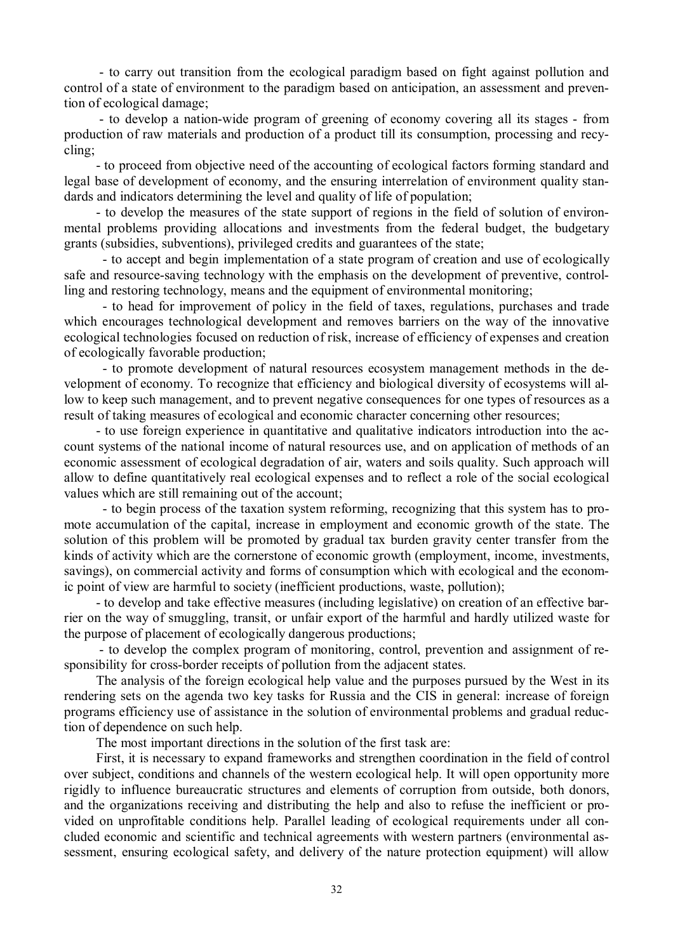- to carry out transition from the ecological paradigm based on fight against pollution and control of a state of environment to the paradigm based on anticipation, an assessment and prevention of ecological damage;

- to develop a nation-wide program of greening of economy covering all its stages - from production of raw materials and production of a product till its consumption, processing and recycling;

- to proceed from objective need of the accounting of ecological factors forming standard and legal base of development of economy, and the ensuring interrelation of environment quality standards and indicators determining the level and quality of life of population;

- to develop the measures of the state support of regions in the field of solution of environmental problems providing allocations and investments from the federal budget, the budgetary grants (subsidies, subventions), privileged credits and guarantees of the state;

 - to accept and begin implementation of a state program of creation and use of ecologically safe and resource-saving technology with the emphasis on the development of preventive, controlling and restoring technology, means and the equipment of environmental monitoring;

 - to head for improvement of policy in the field of taxes, regulations, purchases and trade which encourages technological development and removes barriers on the way of the innovative ecological technologies focused on reduction of risk, increase of efficiency of expenses and creation of ecologically favorable production;

 - to promote development of natural resources ecosystem management methods in the development of economy. To recognize that efficiency and biological diversity of ecosystems will allow to keep such management, and to prevent negative consequences for one types of resources as a result of taking measures of ecological and economic character concerning other resources;

- to use foreign experience in quantitative and qualitative indicators introduction into the account systems of the national income of natural resources use, and on application of methods of an economic assessment of ecological degradation of air, waters and soils quality. Such approach will allow to define quantitatively real ecological expenses and to reflect a role of the social ecological values which are still remaining out of the account;

 - to begin process of the taxation system reforming, recognizing that this system has to promote accumulation of the capital, increase in employment and economic growth of the state. The solution of this problem will be promoted by gradual tax burden gravity center transfer from the kinds of activity which are the cornerstone of economic growth (employment, income, investments, savings), on commercial activity and forms of consumption which with ecological and the economic point of view are harmful to society (inefficient productions, waste, pollution);

- to develop and take effective measures (including legislative) on creation of an effective barrier on the way of smuggling, transit, or unfair export of the harmful and hardly utilized waste for the purpose of placement of ecologically dangerous productions;

- to develop the complex program of monitoring, control, prevention and assignment of responsibility for cross-border receipts of pollution from the adjacent states.

The analysis of the foreign ecological help value and the purposes pursued by the West in its rendering sets on the agenda two key tasks for Russia and the CIS in general: increase of foreign programs efficiency use of assistance in the solution of environmental problems and gradual reduction of dependence on such help.

The most important directions in the solution of the first task are:

First, it is necessary to expand frameworks and strengthen coordination in the field of control over subject, conditions and channels of the western ecological help. It will open opportunity more rigidly to influence bureaucratic structures and elements of corruption from outside, both donors, and the organizations receiving and distributing the help and also to refuse the inefficient or provided on unprofitable conditions help. Parallel leading of ecological requirements under all concluded economic and scientific and technical agreements with western partners (environmental assessment, ensuring ecological safety, and delivery of the nature protection equipment) will allow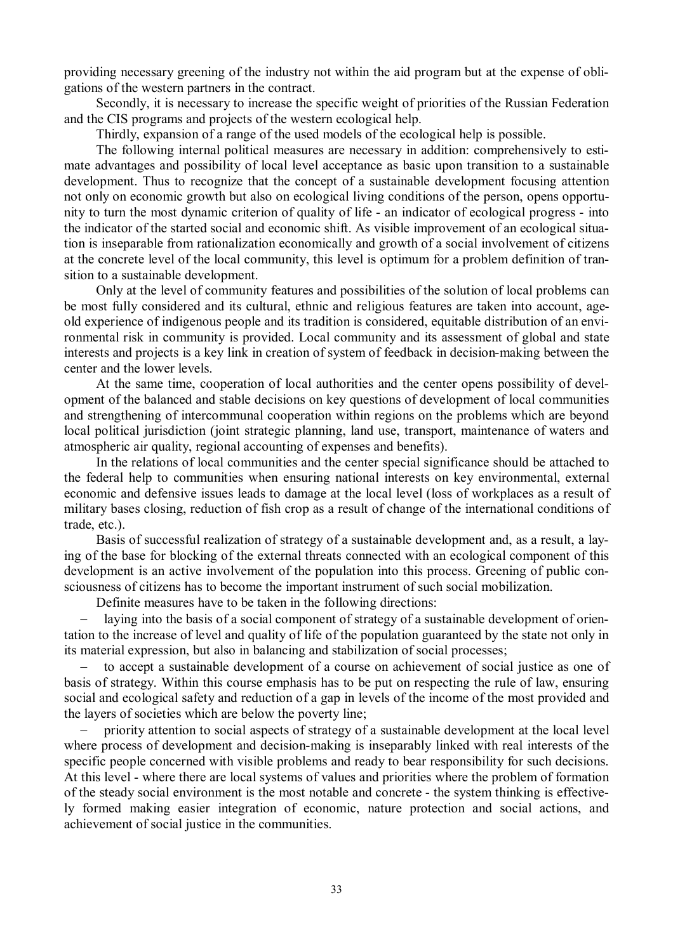providing necessary greening of the industry not within the aid program but at the expense of obligations of the western partners in the contract.

Secondly, it is necessary to increase the specific weight of priorities of the Russian Federation and the CIS programs and projects of the western ecological help.

Thirdly, expansion of a range of the used models of the ecological help is possible.

The following internal political measures are necessary in addition: comprehensively to estimate advantages and possibility of local level acceptance as basic upon transition to a sustainable development. Thus to recognize that the concept of a sustainable development focusing attention not only on economic growth but also on ecological living conditions of the person, opens opportunity to turn the most dynamic criterion of quality of life - an indicator of ecological progress - into the indicator of the started social and economic shift. As visible improvement of an ecological situation is inseparable from rationalization economically and growth of a social involvement of citizens at the concrete level of the local community, this level is optimum for a problem definition of transition to a sustainable development.

Only at the level of community features and possibilities of the solution of local problems can be most fully considered and its cultural, ethnic and religious features are taken into account, ageold experience of indigenous people and its tradition is considered, equitable distribution of an environmental risk in community is provided. Local community and its assessment of global and state interests and projects is a key link in creation of system of feedback in decision-making between the center and the lower levels.

At the same time, cooperation of local authorities and the center opens possibility of development of the balanced and stable decisions on key questions of development of local communities and strengthening of intercommunal cooperation within regions on the problems which are beyond local political jurisdiction (joint strategic planning, land use, transport, maintenance of waters and atmospheric air quality, regional accounting of expenses and benefits).

In the relations of local communities and the center special significance should be attached to the federal help to communities when ensuring national interests on key environmental, external economic and defensive issues leads to damage at the local level (loss of workplaces as a result of military bases closing, reduction of fish crop as a result of change of the international conditions of trade, etc.).

Basis of successful realization of strategy of a sustainable development and, as a result, a laying of the base for blocking of the external threats connected with an ecological component of this development is an active involvement of the population into this process. Greening of public consciousness of citizens has to become the important instrument of such social mobilization.

Definite measures have to be taken in the following directions:

 laying into the basis of a social component of strategy of a sustainable development of orientation to the increase of level and quality of life of the population guaranteed by the state not only in its material expression, but also in balancing and stabilization of social processes;

 to accept a sustainable development of a course on achievement of social justice as one of basis of strategy. Within this course emphasis has to be put on respecting the rule of law, ensuring social and ecological safety and reduction of a gap in levels of the income of the most provided and the layers of societies which are below the poverty line;

 priority attention to social aspects of strategy of a sustainable development at the local level where process of development and decision-making is inseparably linked with real interests of the specific people concerned with visible problems and ready to bear responsibility for such decisions. At this level - where there are local systems of values and priorities where the problem of formation of the steady social environment is the most notable and concrete - the system thinking is effectively formed making easier integration of economic, nature protection and social actions, and achievement of social justice in the communities.